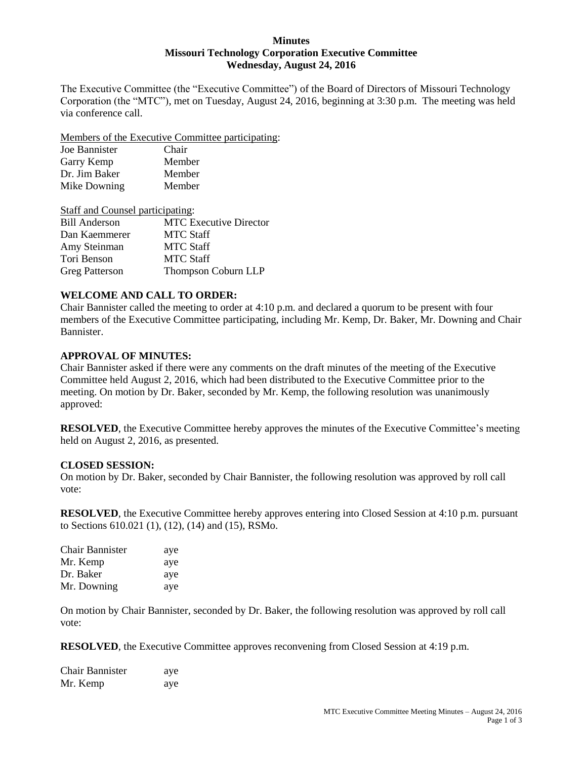#### **Minutes Missouri Technology Corporation Executive Committee Wednesday, August 24, 2016**

The Executive Committee (the "Executive Committee") of the Board of Directors of Missouri Technology Corporation (the "MTC"), met on Tuesday, August 24, 2016, beginning at 3:30 p.m. The meeting was held via conference call.

Members of the Executive Committee participating:

| Joe Bannister | Chair  |
|---------------|--------|
| Garry Kemp    | Member |
| Dr. Jim Baker | Member |
| Mike Downing  | Member |

| <b>Staff and Counsel participating:</b> |                               |
|-----------------------------------------|-------------------------------|
| <b>Bill Anderson</b>                    | <b>MTC</b> Executive Director |
| Dan Kaemmerer                           | <b>MTC Staff</b>              |
| Amy Steinman                            | <b>MTC Staff</b>              |
| Tori Benson                             | <b>MTC Staff</b>              |
| <b>Greg Patterson</b>                   | Thompson Coburn LLP           |

# **WELCOME AND CALL TO ORDER:**

Chair Bannister called the meeting to order at 4:10 p.m. and declared a quorum to be present with four members of the Executive Committee participating, including Mr. Kemp, Dr. Baker, Mr. Downing and Chair Bannister.

# **APPROVAL OF MINUTES:**

Chair Bannister asked if there were any comments on the draft minutes of the meeting of the Executive Committee held August 2, 2016, which had been distributed to the Executive Committee prior to the meeting. On motion by Dr. Baker, seconded by Mr. Kemp, the following resolution was unanimously approved:

**RESOLVED**, the Executive Committee hereby approves the minutes of the Executive Committee's meeting held on August 2, 2016, as presented.

# **CLOSED SESSION:**

On motion by Dr. Baker, seconded by Chair Bannister, the following resolution was approved by roll call vote:

**RESOLVED**, the Executive Committee hereby approves entering into Closed Session at 4:10 p.m. pursuant to Sections 610.021 (1), (12), (14) and (15), RSMo.

| <b>Chair Bannister</b> | aye |
|------------------------|-----|
| Mr. Kemp               | aye |
| Dr. Baker              | aye |
| Mr. Downing            | aye |

On motion by Chair Bannister, seconded by Dr. Baker, the following resolution was approved by roll call vote:

**RESOLVED**, the Executive Committee approves reconvening from Closed Session at 4:19 p.m.

| Chair Bannister | aye |
|-----------------|-----|
| Mr. Kemp        | aye |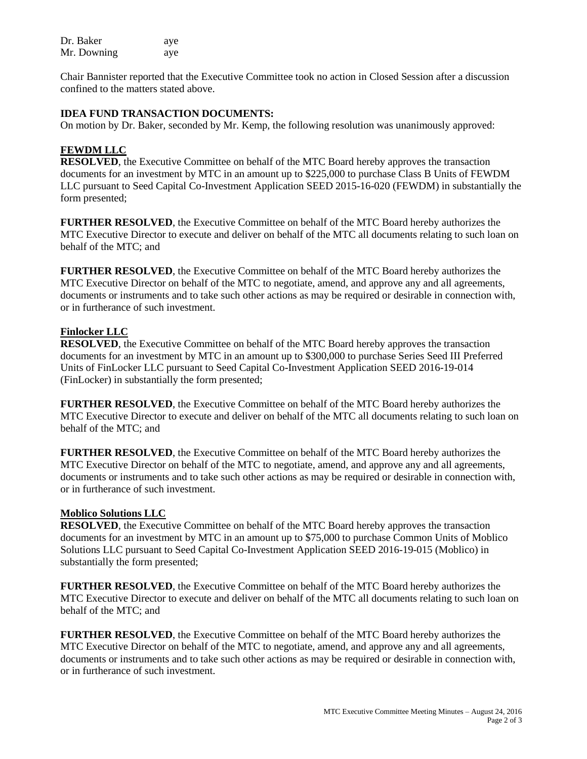| Dr. Baker   | aye |
|-------------|-----|
| Mr. Downing | aye |

Chair Bannister reported that the Executive Committee took no action in Closed Session after a discussion confined to the matters stated above.

# **IDEA FUND TRANSACTION DOCUMENTS:**

On motion by Dr. Baker, seconded by Mr. Kemp, the following resolution was unanimously approved:

# **FEWDM LLC**

**RESOLVED**, the Executive Committee on behalf of the MTC Board hereby approves the transaction documents for an investment by MTC in an amount up to \$225,000 to purchase Class B Units of FEWDM LLC pursuant to Seed Capital Co-Investment Application SEED 2015-16-020 (FEWDM) in substantially the form presented;

**FURTHER RESOLVED**, the Executive Committee on behalf of the MTC Board hereby authorizes the MTC Executive Director to execute and deliver on behalf of the MTC all documents relating to such loan on behalf of the MTC; and

**FURTHER RESOLVED**, the Executive Committee on behalf of the MTC Board hereby authorizes the MTC Executive Director on behalf of the MTC to negotiate, amend, and approve any and all agreements, documents or instruments and to take such other actions as may be required or desirable in connection with, or in furtherance of such investment.

# **Finlocker LLC**

**RESOLVED**, the Executive Committee on behalf of the MTC Board hereby approves the transaction documents for an investment by MTC in an amount up to \$300,000 to purchase Series Seed III Preferred Units of FinLocker LLC pursuant to Seed Capital Co-Investment Application SEED 2016-19-014 (FinLocker) in substantially the form presented;

**FURTHER RESOLVED**, the Executive Committee on behalf of the MTC Board hereby authorizes the MTC Executive Director to execute and deliver on behalf of the MTC all documents relating to such loan on behalf of the MTC; and

**FURTHER RESOLVED**, the Executive Committee on behalf of the MTC Board hereby authorizes the MTC Executive Director on behalf of the MTC to negotiate, amend, and approve any and all agreements, documents or instruments and to take such other actions as may be required or desirable in connection with, or in furtherance of such investment.

# **Moblico Solutions LLC**

**RESOLVED**, the Executive Committee on behalf of the MTC Board hereby approves the transaction documents for an investment by MTC in an amount up to \$75,000 to purchase Common Units of Moblico Solutions LLC pursuant to Seed Capital Co-Investment Application SEED 2016-19-015 (Moblico) in substantially the form presented;

**FURTHER RESOLVED**, the Executive Committee on behalf of the MTC Board hereby authorizes the MTC Executive Director to execute and deliver on behalf of the MTC all documents relating to such loan on behalf of the MTC; and

**FURTHER RESOLVED**, the Executive Committee on behalf of the MTC Board hereby authorizes the MTC Executive Director on behalf of the MTC to negotiate, amend, and approve any and all agreements, documents or instruments and to take such other actions as may be required or desirable in connection with, or in furtherance of such investment.